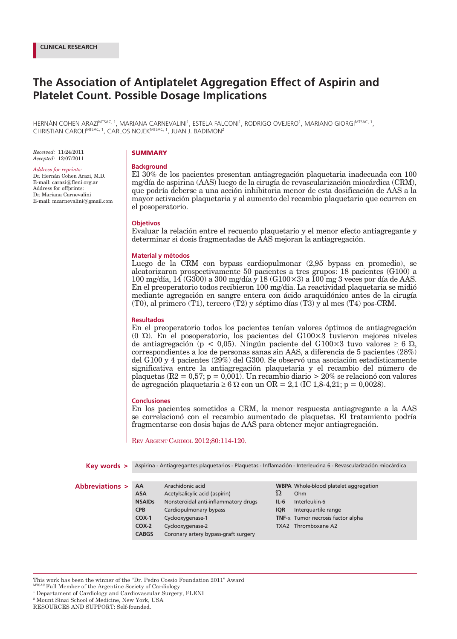# **The Association of Antiplatelet Aggregation Effect of Aspirin and Platelet Count. Possible Dosage Implications**

HERNÁN COHEN ARAZI<sup>mtsac, 1</sup>, MARIANA CARNEVALINI<sup>1</sup>, ESTELA FALCONI<sup>1</sup>, RODRIGO OVEJERO<sup>1</sup>, MARIANO GIORGI<sup>mtsac, 1</sup>, CHRISTIAN CAROLIMTSAC, 1, CARLOS NOJEKMTSAC, 1, JUAN J. BADIMON2

*Received:* 11/24/2011 *Accepted:* 12/07/2011

### *Address for reprints:*

Dr. Hernán Cohen Arazi, M.D. E-mail: carazi@fleni.org.ar Address for offprints: Dr. Mariana Carnevalini E-mail: mcarnevalini@gmail.com

# **SUMMARY**

# **Background**

El 30% de los pacientes presentan antiagregación plaquetaria inadecuada con 100 mg/día de aspirina (AAS) luego de la cirugía de revascularización miocárdica (CRM), que podría deberse a una acción inhibitoria menor de esta dosificación de AAS a la mayor activación plaquetaria y al aumento del recambio plaquetario que ocurren en el posoperatorio.

# **Objetivos**

Evaluar la relación entre el recuento plaquetario y el menor efecto antiagregante y determinar si dosis fragmentadas de AAS mejoran la antiagregación.

# **Material y métodos**

Luego de la CRM con bypass cardiopulmonar (2,95 bypass en promedio), se aleatorizaron prospectivamente 50 pacientes a tres grupos: 18 pacientes (G100) a 100 mg/día, 14 (G300) a 300 mg/día y 18 (G100×3) a 100 mg 3 veces por día de AAS. En el preoperatorio todos recibieron 100 mg/día. La reactividad plaquetaria se midió mediante agregación en sangre entera con ácido araquidónico antes de la cirugía (T0), al primero (T1), tercero (T2) y séptimo días (T3) y al mes (T4) pos-CRM.

# **Resultados**

En el preoperatorio todos los pacientes tenían valores óptimos de antiagregación (0 Ώ). En el posoperatorio, los pacientes del G100×3 tuvieron mejores niveles de antiagregación (p < 0,05). Ningún paciente del G100×3 tuvo valores ≥ 6 Ώ, correspondientes a los de personas sanas sin AAS, a diferencia de 5 pacientes (28%) del G100 y 4 pacientes (29%) del G300. Se observó una asociación estadísticamente significativa entre la antiagregación plaquetaria y el recambio del número de plaquetas ( $R2 = 0.57$ ; p = 0,001). Un recambio diario  $> 20\%$  se relacionó con valores de agregación plaquetaria  $\geq 6$  Ω con un OR = 2,1 (IC 1,8-4,21; p = 0,0028).

# **Conclusiones**

En los pacientes sometidos a CRM, la menor respuesta antiagregante a la AAS se correlacionó con el recambio aumentado de plaquetas. El tratamiento podría fragmentarse con dosis bajas de AAS para obtener mejor antiagregación.

REV ARGENT CARDIOL 2012;80:114-120.

| Key words >               | Aspirina - Antiagregantes plaquetarios - Plaquetas - Inflamación - Interleucina 6 - Revascularización miocárdica |                                      |            |                                              |  |
|---------------------------|------------------------------------------------------------------------------------------------------------------|--------------------------------------|------------|----------------------------------------------|--|
|                           |                                                                                                                  |                                      |            |                                              |  |
| <b>Abbreviations &gt;</b> | AA                                                                                                               | Arachidonic acid                     |            | <b>WBPA</b> Whole-blood platelet aggregation |  |
|                           | <b>ASA</b>                                                                                                       | Acetylsalicylic acid (aspirin)       | Ώ          | Ohm                                          |  |
|                           | <b>NSAIDs</b>                                                                                                    | Nonsteroidal anti-inflammatory drugs | $IL-6$     | Interleukin-6                                |  |
|                           | <b>CPB</b>                                                                                                       | Cardiopulmonary bypass               | <b>IOR</b> | Interguartile range                          |  |
|                           | $COX-1$                                                                                                          | Cyclooxygenase-1                     |            | TNF- $\alpha$ Tumor necrosis factor alpha    |  |
|                           | $COX-2$                                                                                                          | Cyclooxygenase-2                     |            | TXA2 Thromboxane A2                          |  |
|                           | <b>CABGS</b>                                                                                                     | Coronary artery bypass-graft surgery |            |                                              |  |
|                           |                                                                                                                  |                                      |            |                                              |  |

This work has been the winner of the "Dr. Pedro Cossio Foundation 2011" Award

MTSAC Full Member of the Argentine Society of Cardiology

RESOURCES AND SUPPORT: Self-founded.

<sup>&</sup>lt;sup>1</sup> Departament of Cardiology and Cardiovascular Surgery, FLENI

<sup>2</sup> Mount Sinai School of Medicine, New York, USA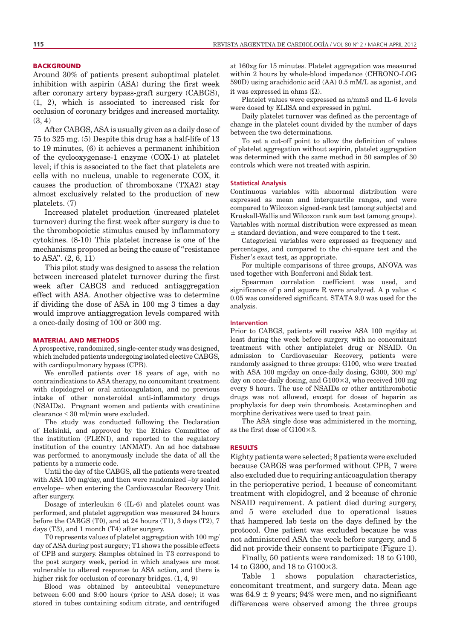# **BACKGROUND**

Around 30% of patients present suboptimal platelet inhibition with aspirin (ASA) during the first week after coronary artery bypass-graft surgery (CABGS), (1, 2), which is associated to increased risk for occlusion of coronary bridges and increased mortality. (3, 4)

After CABGS, ASA is usually given as a daily dose of 75 to 325 mg. (5) Despite this drug has a half-life of 13 to 19 minutes, (6) it achieves a permanent inhibition of the cyclooxygenase-1 enzyme (COX-1) at platelet level; if this is associated to the fact that platelets are cells with no nucleus, unable to regenerate COX, it causes the production of thromboxane (TXA2) stay almost exclusively related to the production of new platelets. (7)

Increased platelet production (increased platelet turnover) during the first week after surgery is due to the thrombopoietic stimulus caused by inflammatory cytokines. (8-10) This platelet increase is one of the mechanisms proposed as being the cause of "resistance to ASA". (2, 6, 11)

This pilot study was designed to assess the relation between increased platelet turnover during the first week after CABGS and reduced antiaggregation effect with ASA. Another objective was to determine if dividing the dose of ASA in 100 mg 3 times a day would improve antiaggregation levels compared with a once-daily dosing of 100 or 300 mg.

# MATERIAL AND METHODS

A prospective, randomized, single-center study was designed, which included patients undergoing isolated elective CABGS, with cardiopulmonary bypass (CPB).

We enrolled patients over 18 years of age, with no contraindications to ASA therapy, no concomitant treatment with clopidogrel or oral anticoagulation, and no previous intake of other nonsteroidal anti-inflammatory drugs (NSAIDs). Pregnant women and patients with creatinine clearance ≤ 30 ml/min were excluded.

The study was conducted following the Declaration of Helsinki, and approved by the Ethics Committee of the institution (FLENI), and reported to the regulatory institution of the country (ANMAT). An ad hoc database was performed to anonymously include the data of all the patients by a numeric code.

Until the day of the CABGS, all the patients were treated with ASA 100 mg/day, and then were randomized –by sealed envelope– when entering the Cardiovascular Recovery Unit after surgery.

Dosage of interleukin 6 (IL-6) and platelet count was performed, and platelet aggregation was measured 24 hours before the CABGS (T0), and at 24 hours (T1), 3 days (T2), 7 days (T3), and 1 month (T4) after surgery.

T0 represents values of platelet aggregation with 100 mg/ day of ASA during post surgery; T1 shows the possible effects of CPB and surgery. Samples obtained in T3 correspond to the post surgery week, period in which analyses are most vulnerable to altered response to ASA action, and there is higher risk for occlusion of coronary bridges.  $(1, 4, 9)$ 

Blood was obtained by antecubital venepuncture between 6:00 and 8:00 hours (prior to ASA dose); it was stored in tubes containing sodium citrate, and centrifuged at 160xg for 15 minutes. Platelet aggregation was measured within 2 hours by whole-blood impedance (CHRONO-LOG 590D) using arachidonic acid (AA) 0.5 mM/L as agonist, and it was expressed in ohms  $(\Omega)$ .

Platelet values were expressed as n/mm3 and IL-6 levels were dosed by ELISA and expressed in pg/ml.

Daily platelet turnover was defined as the percentage of change in the platelet count divided by the number of days between the two determinations.

To set a cut-off point to allow the definition of values of platelet aggregation without aspirin, platelet aggregation was determined with the same method in 50 samples of 30 controls which were not treated with aspirin.

## **Statistical Analysis**

Continuous variables with abnormal distribution were expressed as mean and interquartile ranges, and were compared to Wilcoxon signed-rank test (among subjects) and Kruskall-Wallis and Wilcoxon rank sum test (among groups). Variables with normal distribution were expressed as mean ± standard deviation, and were compared to the t test.

Categorical variables were expressed as frequency and percentages, and compared to the chi-square test and the Fisher's exact test, as appropriate.

For multiple comparisons of three groups, ANOVA was used together with Bonferroni and Sidak test.

Spearman correlation coefficient was used, and significance of  $p$  and square R were analyzed. A  $p$  value  $\lt$ 0.05 was considered significant. STATA 9.0 was used for the analysis.

### **Intervention**

Prior to CABGS, patients will receive ASA 100 mg/day at least during the week before surgery, with no concomitant treatment with other antiplatelet drug or NSAID. On admission to Cardiovascular Recovery, patients were randomly assigned to three groups: G100, who were treated with ASA 100 mg/day on once-daily dosing, G300, 300 mg/ day on once-daily dosing, and G100×3, who received 100 mg every 8 hours. The use of NSAIDs or other antithrombotic drugs was not allowed, except for doses of heparin as prophylaxis for deep vein thrombosis. Acetaminophen and morphine derivatives were used to treat pain.

The ASA single dose was administered in the morning, as the first dose of G100×3.

# RESULTS

Eighty patients were selected; 8 patients were excluded because CABGS was performed without CPB, 7 were also excluded due to requiring anticoagulation therapy in the perioperative period, 1 because of concomitant treatment with clopidogrel, and 2 because of chronic NSAID requirement. A patient died during surgery, and 5 were excluded due to operational issues that hampered lab tests on the days defined by the protocol. One patient was excluded because he was not administered ASA the week before surgery, and 5 did not provide their consent to participate (Figure 1).

Finally, 50 patients were randomized: 18 to G100, 14 to G300, and 18 to G100×3.

Table 1 shows population characteristics, concomitant treatment, and surgery data. Mean age was  $64.9 \pm 9$  years; 94% were men, and no significant differences were observed among the three groups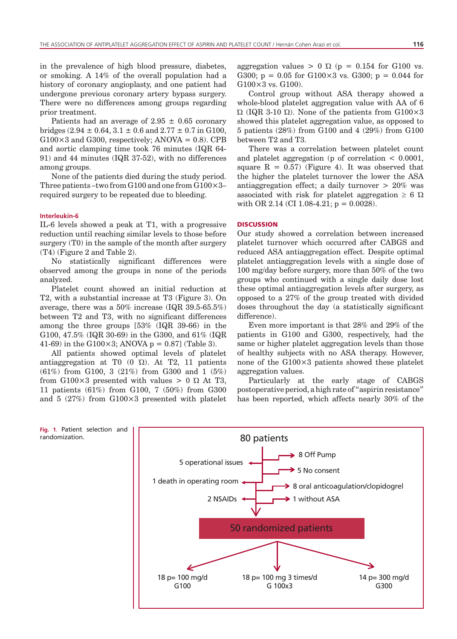in the prevalence of high blood pressure, diabetes, or smoking. A 14% of the overall population had a history of coronary angioplasty, and one patient had undergone previous coronary artery bypass surgery. There were no differences among groups regarding prior treatment.

Patients had an average of  $2.95 \pm 0.65$  coronary bridges (2.94  $\pm$  0.64, 3.1  $\pm$  0.6 and 2.77  $\pm$  0.7 in G100,  $G100\times3$  and  $G300$ , respectively;  $ANOVA = 0.8$ ). CPB and aortic clamping time took 76 minutes (IQR 64- 91) and 44 minutes (IQR 37-52), with no differences among groups.

None of the patients died during the study period. Three patients –two from  $G100$  and one from  $G100\times3$ – required surgery to be repeated due to bleeding.

# **Interleukin-6**

IL-6 levels showed a peak at T1, with a progressive reduction until reaching similar levels to those before surgery (T0) in the sample of the month after surgery (T4) (Figure 2 and Table 2).

No statistically significant differences were observed among the groups in none of the periods analyzed.

Platelet count showed an initial reduction at T2, with a substantial increase at T3 (Figure 3). On average, there was a 50% increase (IQR 39.5-65.5%) between T2 and T3, with no significant differences among the three groups [53% (IQR 39-66) in the G100, 47.5% (IQR 30-69) in the G300, and 61% (IQR 41-69) in the G100 $\times$ 3; ANOVA p = 0.87] (Table 3).

All patients showed optimal levels of platelet antiaggregation at T0  $(0 \Omega)$ . At T2, 11 patients (61%) from G100, 3 (21%) from G300 and 1 (5%) from G100 $\times$ 3 presented with values  $> 0$   $\Omega$  At T3, 11 patients (61%) from G100, 7 (50%) from G300 and 5 (27%) from G100×3 presented with platelet aggregation values  $> 0 \Omega$  (p = 0.154 for G100 vs. G300;  $p = 0.05$  for G100×3 vs. G300;  $p = 0.044$  for G100×3 vs. G100).

Control group without ASA therapy showed a whole-blood platelet aggregation value with AA of 6 Ώ (IQR 3-10 Ώ). None of the patients from G100×3 showed this platelet aggregation value, as opposed to 5 patients (28%) from G100 and 4 (29%) from G100 between T2 and T3.

There was a correlation between platelet count and platelet aggregation (p of correlation < 0.0001, square  $R = 0.57$  (Figure 4). It was observed that the higher the platelet turnover the lower the ASA antiaggregation effect; a daily turnover > 20% was associated with risk for platelet aggregation  $\geq 6 \Omega$ with OR 2.14 (CI 1.08-4.21;  $p = 0.0028$ ).

# **DISCUSSION**

Our study showed a correlation between increased platelet turnover which occurred after CABGS and reduced ASA antiaggregation effect. Despite optimal platelet antiaggregation levels with a single dose of 100 mg/day before surgery, more than 50% of the two groups who continued with a single daily dose lost these optimal antiaggregation levels after surgery, as opposed to a 27% of the group treated with divided doses throughout the day (a statistically significant difference).

Even more important is that 28% and 29% of the patients in G100 and G300, respectively, had the same or higher platelet aggregation levels than those of healthy subjects with no ASA therapy. However, none of the G100×3 patients showed these platelet aggregation values.

Particularly at the early stage of CABGS postoperative period, a high rate of "aspirin resistance" has been reported, which affects nearly 30% of the

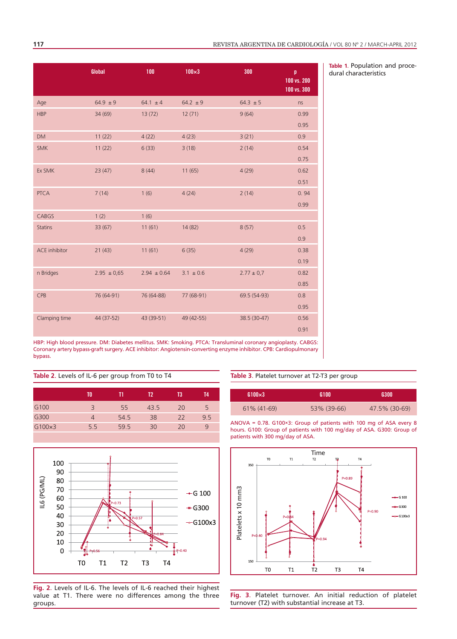|                      | Global          | 100             | $100\times3$  | 300            | p<br>100 vs. 200<br>100 vs. 300 |
|----------------------|-----------------|-----------------|---------------|----------------|---------------------------------|
| Age                  | $64.9 \pm 9$    | $64.1 \pm 4$    | $64.2 \pm 9$  | $64.3 \pm 5$   | ns                              |
| <b>HBP</b>           | 34 (69)         | 13(72)          | 12(71)        | 9(64)          | 0.99                            |
|                      |                 |                 |               |                | 0.95                            |
| <b>DM</b>            | 11(22)          | 4(22)           | 4(23)         | 3(21)          | 0.9                             |
| <b>SMK</b>           | 11(22)          | 6(33)           | 3(18)         | 2(14)          | 0.54                            |
|                      |                 |                 |               |                | 0.75                            |
| Ex SMK               | 23(47)          | 8(44)           | 11(65)        | 4(29)          | 0.62                            |
|                      |                 |                 |               |                | 0.51                            |
| <b>PTCA</b>          | 7(14)           | 1(6)            | 4(24)         | 2(14)          | 0.94                            |
|                      |                 |                 |               |                | 0.99                            |
| CABGS                | 1(2)            | 1(6)            |               |                |                                 |
| <b>Statins</b>       | 33 (67)         | 11(61)          | 14(82)        | 8(57)          | 0.5                             |
|                      |                 |                 |               |                | 0.9                             |
| <b>ACE</b> inhibitor | 21(43)          | 11(61)          | 6(35)         | 4(29)          | 0.38                            |
|                      |                 |                 |               |                | 0.19                            |
| n Bridges            | $2.95 \pm 0.65$ | $2.94 \pm 0.64$ | $3.1 \pm 0.6$ | $2.77 \pm 0.7$ | 0.82                            |
|                      |                 |                 |               |                | 0.85                            |
| CPB                  | 76 (64-91)      | 76 (64-88)      | 77 (68-91)    | 69.5 (54-93)   | 0.8                             |
|                      |                 |                 |               |                | 0.95                            |
| Clamping time        | 44 (37-52)      | 43 (39-51)      | 49 (42-55)    | 38.5 (30-47)   | 0.56                            |
|                      |                 |                 |               |                | 0.91                            |

**Table 1**. Population and procedural characteristics

HBP: High blood pressure. DM: Diabetes mellitus. SMK: Smoking. PTCA: Transluminal coronary angioplasty. CABGS: Coronary artery bypass-graft surgery. ACE inhibitor: Angiotensin-converting enzyme inhibitor. CPB: Cardiopulmonary bypass.

# **Table 2**. Levels of IL-6 per group from T0 to T4

|     |      | T2'  | T3 | T4  |
|-----|------|------|----|-----|
| 3   | 55   | 43.5 | 20 | 5   |
| 4   | 54.5 | 38   | 22 | 9.5 |
| 5.5 | 59.5 | 30   | 20 | 9   |
|     |      |      |    |     |



**Fig. 2**. Levels of IL-6. The levels of IL-6 reached their highest value at T1. There were no differences among the three groups.

**Table 3**. Platelet turnover at T2-T3 per group

| $G100\times3$ | <b>G100</b> | 6300          |
|---------------|-------------|---------------|
| 61% (41-69)   | 53% (39-66) | 47.5% (30-69) |

ANOVA = 0.78. G100×3: Group of patients with 100 mg of ASA every 8 hours. G100: Group of patients with 100 mg/day of ASA. G300: Group of patients with 300 mg/day of ASA.



**Fig. 3**. Platelet turnover. An initial reduction of platelet turnover (T2) with substantial increase at T3.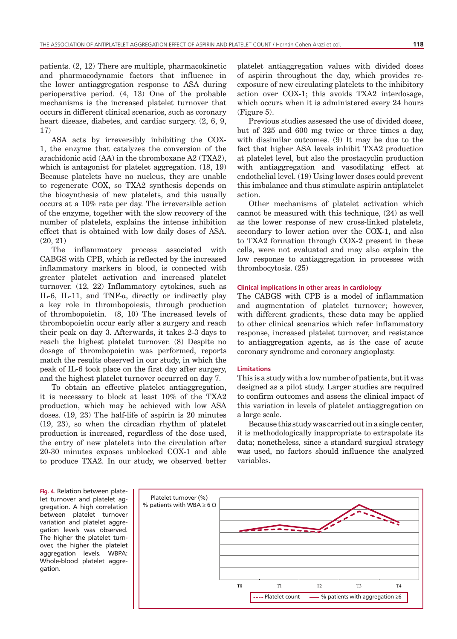patients. (2, 12) There are multiple, pharmacokinetic and pharmacodynamic factors that influence in the lower antiaggregation response to ASA during perioperative period. (4, 13) One of the probable mechanisms is the increased platelet turnover that occurs in different clinical scenarios, such as coronary heart disease, diabetes, and cardiac surgery.  $(2, 6, 9, 1)$ 17)

ASA acts by irreversibly inhibiting the COX-1, the enzyme that catalyzes the conversion of the arachidonic acid (AA) in the thromboxane A2 (TXA2), which is antagonist for platelet aggregation. (18, 19) Because platelets have no nucleus, they are unable to regenerate COX, so TXA2 synthesis depends on the biosynthesis of new platelets, and this usually occurs at a 10% rate per day. The irreversible action of the enzyme, together with the slow recovery of the number of platelets, explains the intense inhibition effect that is obtained with low daily doses of ASA. (20, 21)

The inflammatory process associated with CABGS with CPB, which is reflected by the increased inflammatory markers in blood, is connected with greater platelet activation and increased platelet turnover. (12, 22) Inflammatory cytokines, such as IL-6, IL-11, and TNF- $\alpha$ , directly or indirectly play a key role in thrombopoiesis, through production of thrombopoietin. (8, 10) The increased levels of thrombopoietin occur early after a surgery and reach their peak on day 3. Afterwards, it takes 2-3 days to reach the highest platelet turnover. (8) Despite no dosage of thrombopoietin was performed, reports match the results observed in our study, in which the peak of IL-6 took place on the first day after surgery, and the highest platelet turnover occurred on day 7.

To obtain an effective platelet antiaggregation, it is necessary to block at least 10% of the TXA2 production, which may be achieved with low ASA doses. (19, 23) The half-life of aspirin is 20 minutes (19, 23), so when the circadian rhythm of platelet production is increased, regardless of the dose used, the entry of new platelets into the circulation after 20-30 minutes exposes unblocked COX-1 and able to produce TXA2. In our study, we observed better platelet antiaggregation values with divided doses of aspirin throughout the day, which provides reexposure of new circulating platelets to the inhibitory action over COX-1; this avoids TXA2 interdosage, which occurs when it is administered every 24 hours (Figure 5).

Previous studies assessed the use of divided doses, but of 325 and 600 mg twice or three times a day, with dissimilar outcomes. (9) It may be due to the fact that higher ASA levels inhibit TXA2 production at platelet level, but also the prostacyclin production with antiaggregation and vasodilating effect at endothelial level. (19) Using lower doses could prevent this imbalance and thus stimulate aspirin antiplatelet action.

Other mechanisms of platelet activation which cannot be measured with this technique, (24) as well as the lower response of new cross-linked platelets, secondary to lower action over the COX-1, and also to TXA2 formation through COX-2 present in these cells, were not evaluated and may also explain the low response to antiaggregation in processes with thrombocytosis. (25)

# **Clinical implications in other areas in cardiology**

The CABGS with CPB is a model of inflammation and augmentation of platelet turnover; however, with different gradients, these data may be applied to other clinical scenarios which refer inflammatory response, increased platelet turnover, and resistance to antiaggregation agents, as is the case of acute coronary syndrome and coronary angioplasty.

# **Limitations**

This is a study with a low number of patients, but it was designed as a pilot study. Larger studies are required to confirm outcomes and assess the clinical impact of this variation in levels of platelet antiaggregation on a large scale.

Because this study was carried out in a single center, it is methodologically inappropriate to extrapolate its data; nonetheless, since a standard surgical strategy was used, no factors should influence the analyzed variables.

**Fig. 4**. Relation between platelet turnover and platelet aggregation. A high correlation between platelet turnover variation and platelet aggregation levels was observed. The higher the platelet turnover, the higher the platelet aggregation levels. WBPA: Whole-blood platelet aggregation.

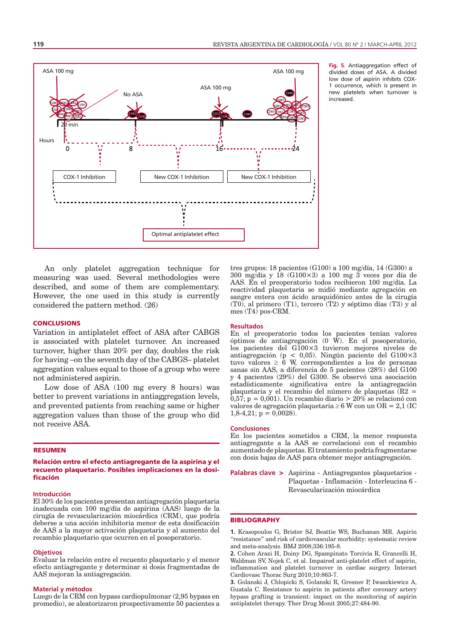

**Fig. 5**. Antiaggregation effect of divided doses of ASA. A divided low dose of aspirin inhibits COX-1 occurrence, which is present in new platelets when turnover is increased.

An only platelet aggregation technique for measuring was used. Several methodologies were described, and some of them are complementary. However, the one used in this study is currently considered the pattern method. (26)

### **CONCLUSIONS**

Variation in antiplatelet effect of ASA after CABGS is associated with platelet turnover. An increased turnover, higher than 20% per day, doubles the risk for having –on the seventh day of the CABGS– platelet aggregation values equal to those of a group who were not administered aspirin.

Low dose of ASA (100 mg every 8 hours) was better to prevent variations in antiaggregation levels, and prevented patients from reaching same or higher aggregation values than those of the group who did not receive ASA.

# RESUMEN

Relación entre el efecto antiagregante de la aspirina y el recuento plaquetario. Posibles implicaciones en la dosificación

### **Introducción**

El 30% de los pacientes presentan antiagregación plaquetaria inadecuada con 100 mg/día de aspirina (AAS) luego de la cirugía de revascularización miocárdica (CRM), que podría deberse a una acción inhibitoria menor de esta dosificación de AAS a la mayor activación plaquetaria y al aumento del recambio plaquetario que ocurren en el posoperatorio.

### **Objetivos**

Evaluar la relación entre el recuento plaquetario y el menor efecto antiagregante y determinar si dosis fragmentadas de AAS mejoran la antiagregación.

### **Material y métodos**

Luego de la CRM con bypass cardiopulmonar (2,95 bypass en promedio), se aleatorizaron prospectivamente 50 pacientes a tres grupos: 18 pacientes (G100) a 100 mg/día, 14 (G300) a 300 mg/día y 18 (G100×3) a 100 mg 3 veces por día de AAS. En el preoperatorio todos recibieron 100 mg/día. La reactividad plaquetaria se midió mediante agregación en sangre entera con ácido araquidónico antes de la cirugía (T0), al primero (T1), tercero (T2) y séptimo días (T3) y al mes (T4) pos-CRM.

### **Resultados**

En el preoperatorio todos los pacientes tenían valores óptimos de antiagregación (0 W). En el posoperatorio, los pacientes del G100×3 tuvieron mejores niveles de antiagregación (p < 0,05). Ningún paciente del G100×3 tuvo valores  $\geq 6$  W, correspondientes a los de personas sanas sin AAS, a diferencia de 5 pacientes (28%) del G100 y 4 pacientes (29%) del G300. Se observó una asociación estadísticamente significativa entre la antiagregación plaquetaria y el recambio del número de plaquetas (R2 =  $0.57$ ; p = 0,001). Un recambio diario > 20% se relacionó con valores de agregación plaquetaria ≥ 6 W con un OR = 2,1 (IC  $1,8-4,21;$  p = 0,0028).

# **Conclusiones**

En los pacientes sometidos a CRM, la menor respuesta antiagregante a la AAS se correlacionó con el recambio aumentado de plaquetas. El tratamiento podría fragmentarse con dosis bajas de AAS para obtener mejor antiagregación.

**Palabras clave** > Aspirina - Antiagregantes plaquetarios - Plaquetas - Inflamación - Interleucina 6 - Revascularización miocárdica

# **BIBLIOGRAPHY**

**1.** Krasopoulos G, Brister SJ, Beattie WS, Buchanan MR. Aspirin "resistance" and risk of cardiovascular morbidity: systematic review and meta-analysis. BMJ 2008;336:195-8.

**2.** Cohen Arazi H, Doiny DG, Spampinato Torcivia R, Grancelli H, Waldman SV, Nojek C, et al. Impaired anti-platelet effect of aspirin, inflammation and platelet turnover in cardiac surgery. Interact Cardiovasc Thorac Surg 2010;10:863-7.

**3.** Golanski J, Chlopicki S, Golanski R, Gresner P, Iwaszkiewicz A, Guatala C. Resistance to aspirin in patients after coronary artery bypass grafting is transient: impact on the monitoring of aspirin antiplatelet therapy. Ther Drug Monit 2005;27:484-90.